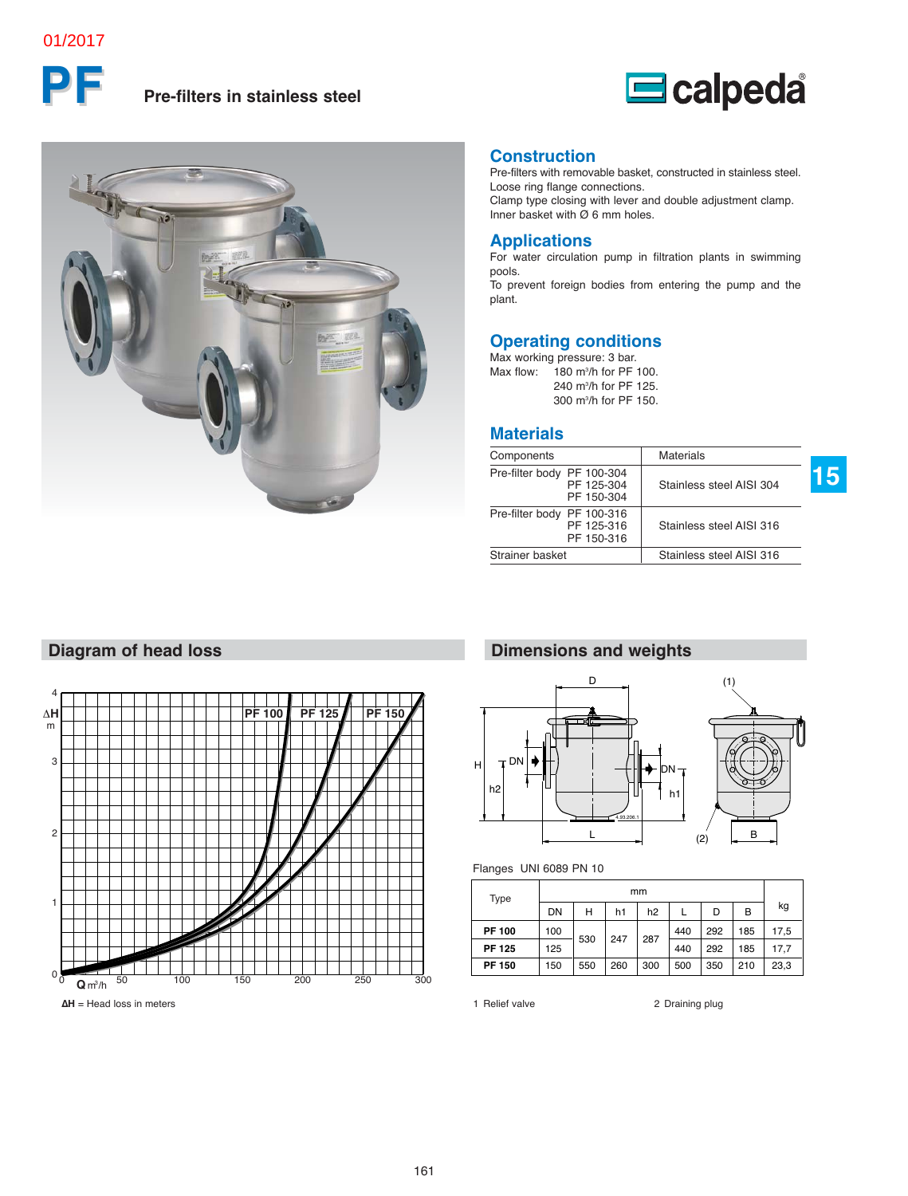#### 01/2017

# **PF Pre-filters in stainless steel**





#### **Construction**

Pre-filters with removable basket, constructed in stainless steel. Loose ring flange connections. Clamp type closing with lever and double adjustment clamp.

Inner basket with Ø 6 mm holes.

#### **Applications**

For water circulation pump in filtration plants in swimming pools.

To prevent foreign bodies from entering the pump and the plant.

#### **Operating conditions**

Max working pressure: 3 bar. Max flow:  $180$  m<sup>3</sup>/h for PF 100. 240 m3 /h for PF 125. 300 m3 /h for PF 150.

#### **Materials**

| Components                 |                          | <b>Materials</b>         |  |
|----------------------------|--------------------------|--------------------------|--|
| Pre-filter body PF 100-304 | PF 125-304<br>PF 150-304 | Stainless steel AISI 304 |  |
| Pre-filter body PF 100-316 | PF 125-316<br>PF 150-316 | Stainless steel AISI 316 |  |
| Strainer basket            |                          | Stainless steel AISI 316 |  |

**15**



**Diagram of head loss**

### **Dimensions and weights**



#### Flanges UNI 6089 PN 10

| Type          | mm  |     |     |     |     |     |     |      |
|---------------|-----|-----|-----|-----|-----|-----|-----|------|
|               | DN  | н   | h1  | h2  |     | D   | B   | kg   |
| <b>PF 100</b> | 100 | 530 | 247 | 287 | 440 | 292 | 185 | 17,5 |
| <b>PF 125</b> | 125 |     |     |     | 440 | 292 | 185 | 17.7 |
| <b>PF 150</b> | 150 | 550 | 260 | 300 | 500 | 350 | 210 | 23,3 |

#### 161